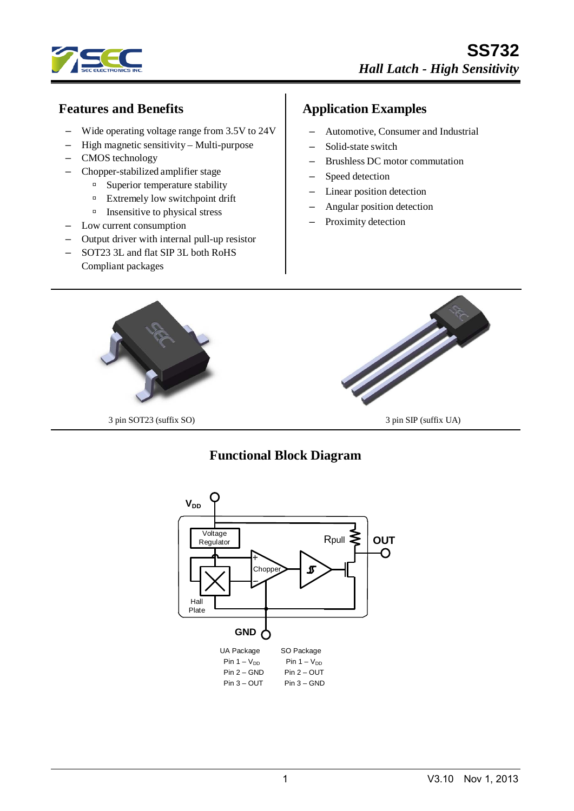

### **Features and Benefits**

- Wide operating voltage range from 3.5V to 24V
- High magnetic sensitivity Multi-purpose
- CMOS technology
- Chopper-stabilized amplifier stage
	- <sup>n</sup> Superior temperature stability
	- Extremely low switchpoint drift
	- $\Box$  Insensitive to physical stress
- Low current consumption
- Output driver with internal pull-up resistor
- SOT23 3L and flat SIP 3L both RoHS Compliant packages

### **Application Examples**

- Automotive, Consumer and Industrial
- Solid-state switch
- Brushless DC motor commutation
- Speed detection
- Linear position detection
- Angular position detection
- Proximity detection



### **Functional Block Diagram**

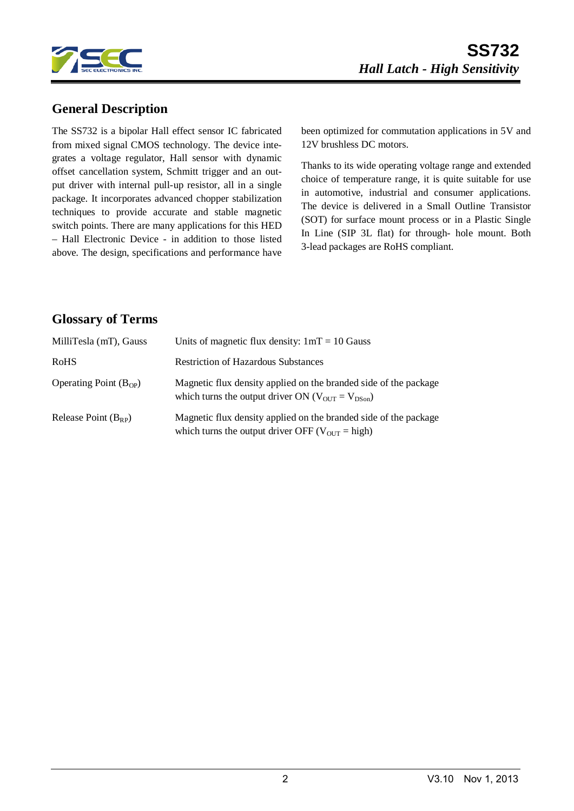

### **General Description**

The SS732 is a bipolar Hall effect sensor IC fabricated from mixed signal CMOS technology. The device integrates a voltage regulator, Hall sensor with dynamic offset cancellation system, Schmitt trigger and an output driver with internal pull-up resistor, all in a single package. It incorporates advanced chopper stabilization techniques to provide accurate and stable magnetic switch points. There are many applications for this HED – Hall Electronic Device - in addition to those listed above. The design, specifications and performance have been optimized for commutation applications in 5V and 12V brushless DC motors.

Thanks to its wide operating voltage range and extended choice of temperature range, it is quite suitable for use in automotive, industrial and consumer applications. The device is delivered in a Small Outline Transistor (SOT) for surface mount process or in a Plastic Single In Line (SIP 3L flat) for through- hole mount. Both 3-lead packages are RoHS compliant.

#### **Glossary of Terms**

| MilliTesla (mT), Gauss     | Units of magnetic flux density: $1mT = 10$ Gauss                                                                                 |
|----------------------------|----------------------------------------------------------------------------------------------------------------------------------|
| <b>RoHS</b>                | <b>Restriction of Hazardous Substances</b>                                                                                       |
| Operating Point $(B_{OP})$ | Magnetic flux density applied on the branded side of the package<br>which turns the output driver ON ( $V_{OUT} = V_{DSon}$ )    |
| Release Point $(B_{RP})$   | Magnetic flux density applied on the branded side of the package<br>which turns the output driver OFF ( $V_{\text{OUT}}$ = high) |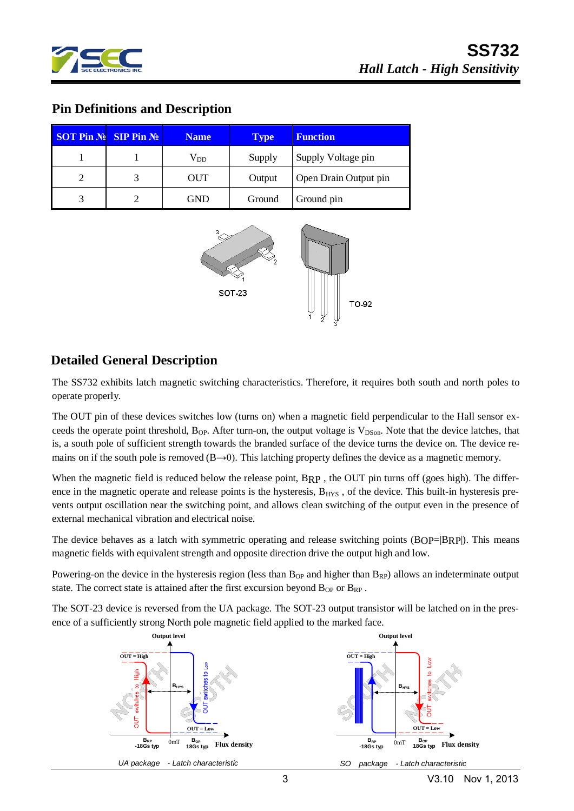

# **SS732** *Hall Latch - High Sensitivity*

#### **Pin Definitions and Description**

| <b>SOT Pin <math>\mathbb{N}_2</math> SIP Pin <math>\mathbb{N}_2</math></b> | <b>Name</b>  | <b>Type</b> | <b>Function</b>       |
|----------------------------------------------------------------------------|--------------|-------------|-----------------------|
|                                                                            | $\rm V_{DD}$ | Supply      | Supply Voltage pin    |
|                                                                            | <b>OUT</b>   | Output      | Open Drain Output pin |
|                                                                            | GND          | Ground      | Ground pin            |



#### **Detailed General Description**

The SS732 exhibits latch magnetic switching characteristics. Therefore, it requires both south and north poles to operate properly.

The OUT pin of these devices switches low (turns on) when a magnetic field perpendicular to the Hall sensor exceeds the operate point threshold,  $B_{OP}$ . After turn-on, the output voltage is  $V_{DSon}$ . Note that the device latches, that is, a south pole of sufficient strength towards the branded surface of the device turns the device on. The device remains on if the south pole is removed  $(B\rightarrow 0)$ . This latching property defines the device as a magnetic memory.

When the magnetic field is reduced below the release point, BRP, the OUT pin turns off (goes high). The difference in the magnetic operate and release points is the hysteresis,  $B_{HYS}$ , of the device. This built-in hysteresis prevents output oscillation near the switching point, and allows clean switching of the output even in the presence of external mechanical vibration and electrical noise.

The device behaves as a latch with symmetric operating and release switching points  $(BOP=|BRP|)$ . This means magnetic fields with equivalent strength and opposite direction drive the output high and low.

Powering-on the device in the hysteresis region (less than  $B_{OP}$  and higher than  $B_{RP}$ ) allows an indeterminate output state. The correct state is attained after the first excursion beyond  $B_{OP}$  or  $B_{RP}$ .

The SOT-23 device is reversed from the UA package. The SOT-23 output transistor will be latched on in the presence of a sufficiently strong North pole magnetic field applied to the marked face.

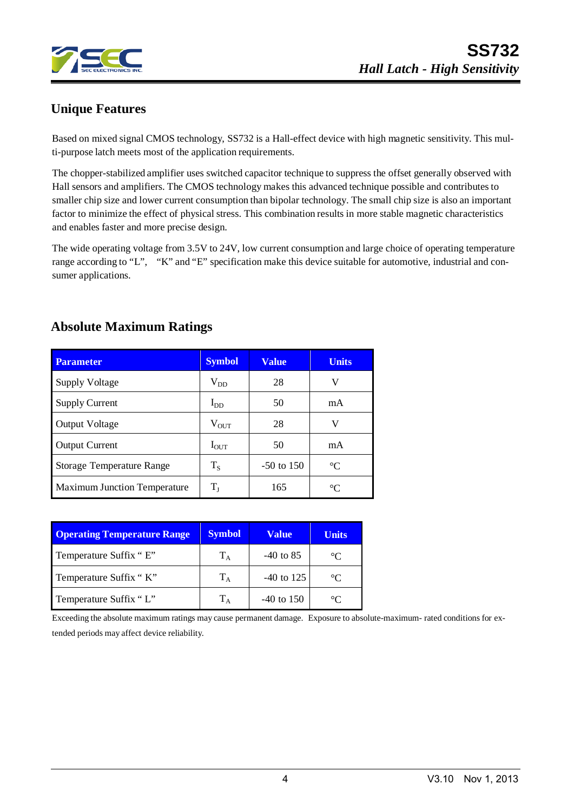

# **Unique Features**

Based on mixed signal CMOS technology, SS732 is a Hall-effect device with high magnetic sensitivity. This multi-purpose latch meets most of the application requirements.

The chopper-stabilized amplifier uses switched capacitor technique to suppress the offset generally observed with Hall sensors and amplifiers. The CMOS technology makes this advanced technique possible and contributes to smaller chip size and lower current consumption than bipolar technology. The small chip size is also an important factor to minimize the effect of physical stress. This combination results in more stable magnetic characteristics and enables faster and more precise design.

The wide operating voltage from 3.5V to 24V, low current consumption and large choice of operating temperature range according to "L", "K" and "E" specification make this device suitable for automotive, industrial and consumer applications.

# **Absolute Maximum Ratings**

| <b>Parameter</b>                    | <b>Symbol</b> | <b>Value</b> | <b>Units</b> |
|-------------------------------------|---------------|--------------|--------------|
| <b>Supply Voltage</b>               | $\rm V_{DD}$  | 28           | V            |
| <b>Supply Current</b>               | $I_{DD}$      | 50           | mA           |
| <b>Output Voltage</b>               | $\rm V_{OUT}$ | 28           | V            |
| <b>Output Current</b>               | $I_{OUT}$     | 50           | mA           |
| <b>Storage Temperature Range</b>    | $T_S$         | $-50$ to 150 | $^{\circ}C$  |
| <b>Maximum Junction Temperature</b> | $\rm T_I$     | 165          | $^{\circ}C$  |

| <b>Operating Temperature Range</b> | <b>Symbol</b> | Value        | <b>Units</b>    |
|------------------------------------|---------------|--------------|-----------------|
| Temperature Suffix "E"             | $T_A$         | $-40$ to 85  | $\rm ^{\circ}C$ |
| Temperature Suffix "K"             | $T_A$         | $-40$ to 125 | $^{\circ}C$     |
| Temperature Suffix "L"             | $\rm T_A$     | $-40$ to 150 | $^{\circ}C$     |

Exceeding the absolute maximum ratings may cause permanent damage. Exposure to absolute-maximum- rated conditions for extended periods may affect device reliability.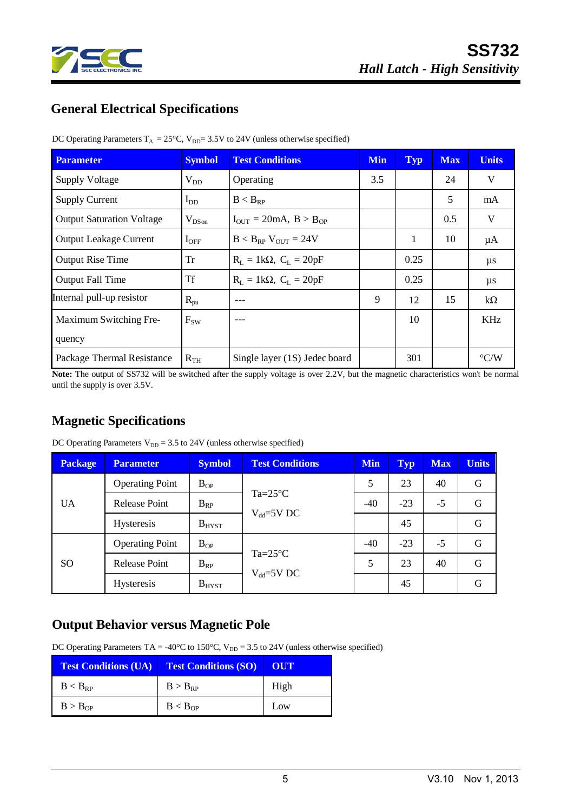

# **General Electrical Specifications**

| <b>Parameter</b>                 | <b>Symbol</b>   | <b>Test Conditions</b>                             | <b>Min</b> | Typ  | <b>Max</b> | <b>Units</b>       |
|----------------------------------|-----------------|----------------------------------------------------|------------|------|------------|--------------------|
| <b>Supply Voltage</b>            | $V_{DD}$        | Operating                                          | 3.5        |      | 24         | V                  |
| <b>Supply Current</b>            | $I_{DD}$        | $B < B_{RP}$                                       |            |      | 5          | mA                 |
| <b>Output Saturation Voltage</b> | $V_{DSon}$      | $I_{\text{OUT}} = 20 \text{mA}, B > B_{\text{OP}}$ |            |      | 0.5        | V                  |
| <b>Output Leakage Current</b>    | $I_{\rm OFF}$   | $B < B_{RP}$ V <sub>OUT</sub> = 24V                |            | 1    | 10         | $\mu A$            |
| <b>Output Rise Time</b>          | Tr              | $R_L = 1k\Omega$ , $C_L = 20pF$                    |            | 0.25 |            | μs                 |
| <b>Output Fall Time</b>          | <b>Tf</b>       | $R_L = 1k\Omega$ , $C_L = 20pF$                    |            | 0.25 |            | μs                 |
| Internal pull-up resistor        | $R_{\text{pu}}$ |                                                    | 9          | 12   | 15         | $k\Omega$          |
| Maximum Switching Fre-           | $F_{SW}$        |                                                    |            | 10   |            | KHz                |
| quency                           |                 |                                                    |            |      |            |                    |
| Package Thermal Resistance       | $R_{TH}$        | Single layer (1S) Jedec board                      |            | 301  |            | $\rm ^{\circ} C/W$ |

DC Operating Parameters  $T_A = 25^{\circ}C$ ,  $V_{DD} = 3.5V$  to 24V (unless otherwise specified)

Note: The output of SS732 will be switched after the supply voltage is over 2.2V, but the magnetic characteristics won't be normal until the supply is over 3.5V.

# **Magnetic Specifications**

| <b>Package</b> | <b>Parameter</b>       | <b>Symbol</b> | <b>Test Conditions</b>                 | <b>Min</b> | <b>Typ</b> | <b>Max</b> | <b>Units</b> |
|----------------|------------------------|---------------|----------------------------------------|------------|------------|------------|--------------|
|                | <b>Operating Point</b> | $B_{OP}$      | $Ta=25^{\circ}C$                       | 5          | 23         | 40         | G            |
| <b>UA</b>      | <b>Release Point</b>   | $B_{RP}$      |                                        | $-40$      | $-23$      | $-5$       | G            |
|                | <b>Hysteresis</b>      | $B_{H YST}$   | $V_{dd} = 5V$ DC                       |            | 45         |            | G            |
|                | <b>Operating Point</b> | $B_{OP}$      | $Ta = 25^{\circ}C$<br>$V_{dd} = 5V$ DC | $-40$      | $-23$      | $-5$       | G            |
| <sub>SO</sub>  | <b>Release Point</b>   | $B_{RP}$      |                                        | 5          | 23         | 40         | G            |
|                | <b>Hysteresis</b>      | $B_{H YST}$   |                                        |            | 45         |            | G            |

DC Operating Parameters  $V_{DD} = 3.5$  to 24V (unless otherwise specified)

### **Output Behavior versus Magnetic Pole**

DC Operating Parameters TA = -40°C to 150°C,  $V_{DD} = 3.5$  to 24V (unless otherwise specified)

| <b>Test Conditions (UA)</b> | <b>Test Conditions (SO)</b> | OUT  |
|-----------------------------|-----------------------------|------|
| $B < B_{RP}$                | $B > B_{RP}$                | High |
| B > B <sub>OP</sub>         | B < B <sub>OP</sub>         | Low  |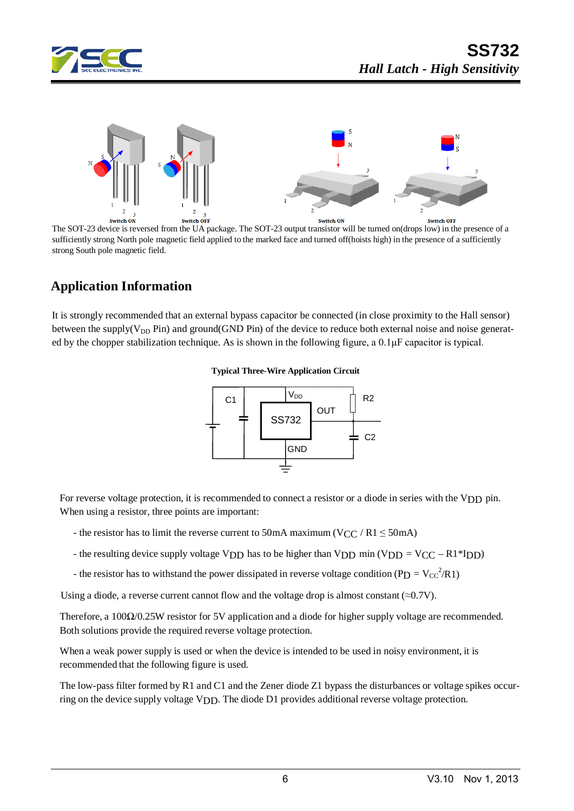



The SOT-23 device is reversed from the UA package. The SOT-23 output transistor will be turned on(drops low) in the presence of a sufficiently strong North pole magnetic field applied to the marked face and turned off(hoists high) in the presence of a sufficiently strong South pole magnetic field.

### **Application Information**

It is strongly recommended that an external bypass capacitor be connected (in close proximity to the Hall sensor) between the supply( $V_{DD}$  Pin) and ground(GND Pin) of the device to reduce both external noise and noise generated by the chopper stabilization technique. As is shown in the following figure, a 0.1μF capacitor is typical.





For reverse voltage protection, it is recommended to connect a resistor or a diode in series with the VDD pin. When using a resistor, three points are important:

- the resistor has to limit the reverse current to 50mA maximum (VCC / R1  $\leq$  50mA)
- the resulting device supply voltage VDD has to be higher than VDD min (VDD = VCC R1\*IDD)
- the resistor has to withstand the power dissipated in reverse voltage condition (PD =  $V_{CC}^2/R1$ )

Using a diode, a reverse current cannot flow and the voltage drop is almost constant  $(\approx 0.7V)$ .

Therefore, a 100Ω/0.25W resistor for 5V application and a diode for higher supply voltage are recommended. Both solutions provide the required reverse voltage protection.

When a weak power supply is used or when the device is intended to be used in noisy environment, it is recommended that the following figure is used.

The low-pass filter formed by R1 and C1 and the Zener diode Z1 bypass the disturbances or voltage spikes occurring on the device supply voltage VDD. The diode D1 provides additional reverse voltage protection.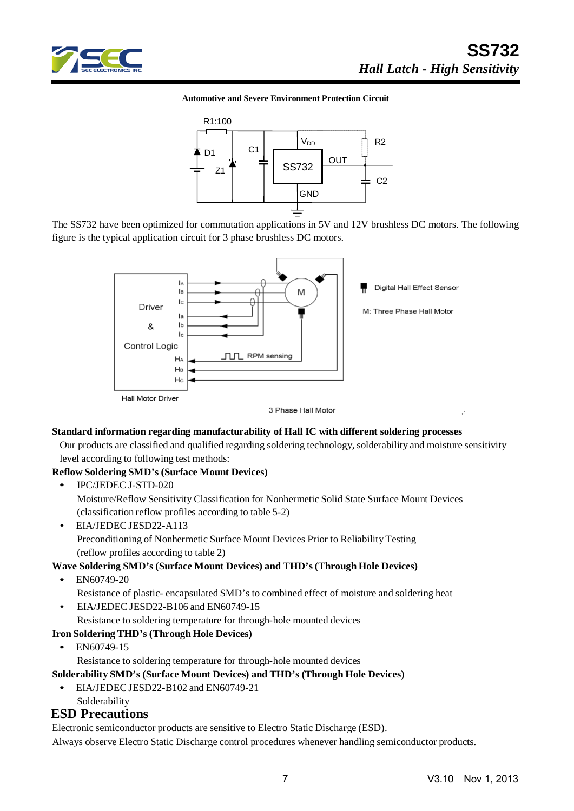

#### **Automotive and Severe Environment Protection Circuit**



The SS732 have been optimized for commutation applications in 5V and 12V brushless DC motors. The following figure is the typical application circuit for 3 phase brushless DC motors.



#### **Standard information regarding manufacturability of Hall IC with different soldering processes**

Our products are classified and qualified regarding soldering technology, solderability and moisture sensitivity level according to following test methods:

#### **Reflow Soldering SMD's (Surface Mount Devices)**

- IPC/JEDEC J-STD-020 Moisture/Reflow Sensitivity Classification for Nonhermetic Solid State Surface Mount Devices (classification reflow profiles according to table 5-2)
- EIA/JEDEC JESD22-A113 Preconditioning of Nonhermetic Surface Mount Devices Prior to Reliability Testing (reflow profiles according to table 2)

#### **Wave Soldering SMD's (Surface Mount Devices) and THD's (Through Hole Devices)**

• EN60749-20

Resistance of plastic- encapsulated SMD's to combined effect of moisture and soldering heat

- EIA/JEDEC JESD22-B106 and EN60749-15
	- Resistance to soldering temperature for through-hole mounted devices

#### **Iron Soldering THD's (Through Hole Devices)**

• EN60749-15

Resistance to soldering temperature for through-hole mounted devices

**Solderability SMD's (Surface Mount Devices) and THD's (Through Hole Devices)**

- EIA/JEDEC JESD22-B102 and EN60749-21
	- Solderability

#### **ESD Precautions**

Electronic semiconductor products are sensitive to Electro Static Discharge (ESD).

Always observe Electro Static Discharge control procedures whenever handling semiconductor products.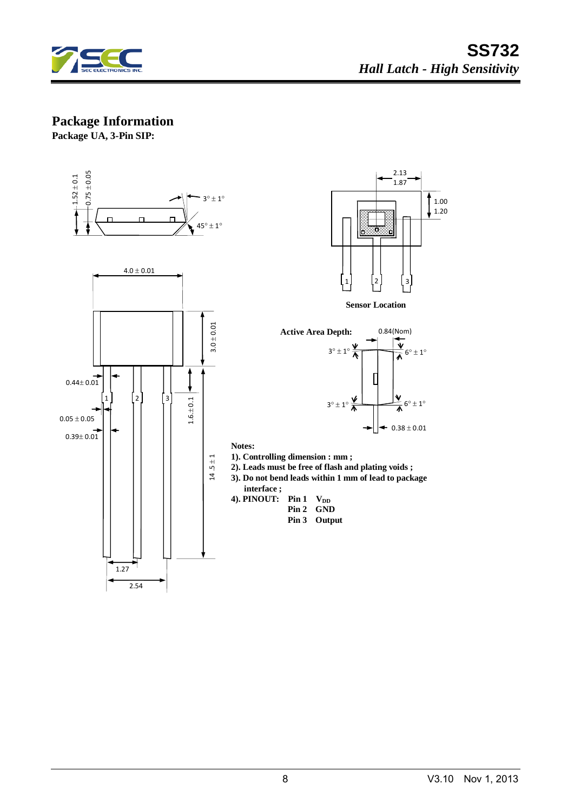

#### **Package Information**

**Package UA, 3-Pin SIP:**